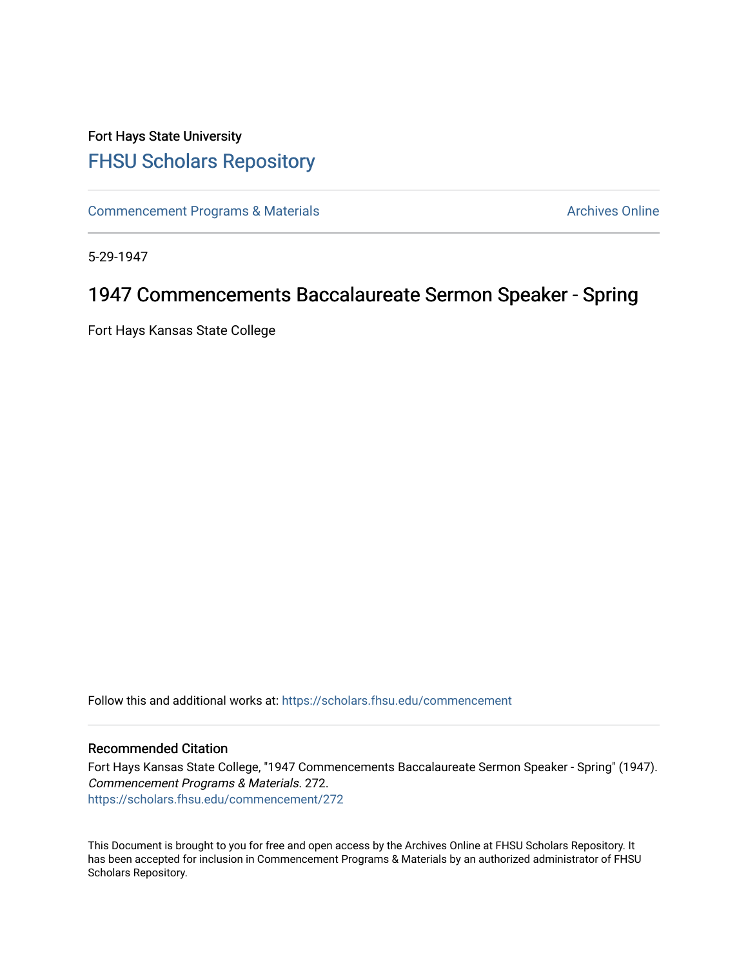## Fort Hays State University [FHSU Scholars Repository](https://scholars.fhsu.edu/)

[Commencement Programs & Materials](https://scholars.fhsu.edu/commencement) **Archives Online** Archives Online

5-29-1947

## 1947 Commencements Baccalaureate Sermon Speaker - Spring

Fort Hays Kansas State College

Follow this and additional works at: [https://scholars.fhsu.edu/commencement](https://scholars.fhsu.edu/commencement?utm_source=scholars.fhsu.edu%2Fcommencement%2F272&utm_medium=PDF&utm_campaign=PDFCoverPages)

## Recommended Citation

Fort Hays Kansas State College, "1947 Commencements Baccalaureate Sermon Speaker - Spring" (1947). Commencement Programs & Materials. 272. [https://scholars.fhsu.edu/commencement/272](https://scholars.fhsu.edu/commencement/272?utm_source=scholars.fhsu.edu%2Fcommencement%2F272&utm_medium=PDF&utm_campaign=PDFCoverPages)

This Document is brought to you for free and open access by the Archives Online at FHSU Scholars Repository. It has been accepted for inclusion in Commencement Programs & Materials by an authorized administrator of FHSU Scholars Repository.